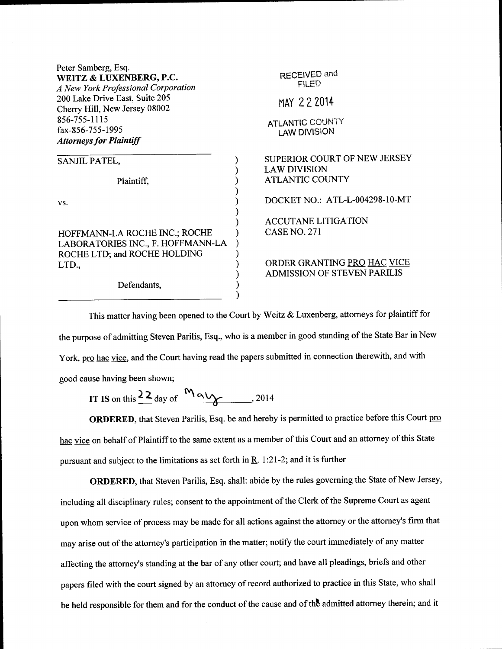| Peter Samberg, Esq.<br>WEITZ & LUXENBERG, P.C.<br>A New York Professional Corporation<br>200 Lake Drive East, Suite 205<br>Cherry Hill, New Jersey 08002<br>856-755-1115<br>fax-856-755-1995 | RECEIVED and<br><b>FILED</b><br>MAY 22 2014<br><b>ATLANTIC COUNTY</b><br><b>LAW DIVISION</b> |
|----------------------------------------------------------------------------------------------------------------------------------------------------------------------------------------------|----------------------------------------------------------------------------------------------|
| <b>Attorneys for Plaintiff</b>                                                                                                                                                               |                                                                                              |
| SANJIL PATEL,                                                                                                                                                                                | SUPERIOR COURT OF NEW JERSEY<br><b>LAW DIVISION</b>                                          |
| Plaintiff,                                                                                                                                                                                   | <b>ATLANTIC COUNTY</b>                                                                       |
| VS.                                                                                                                                                                                          | DOCKET NO.: ATL-L-004298-10-MT                                                               |
| HOFFMANN-LA ROCHE INC.; ROCHE<br>LABORATORIES INC., F. HOFFMANN-LA<br>ROCHE LTD; and ROCHE HOLDING                                                                                           | <b>ACCUTANE LITIGATION</b><br><b>CASE NO. 271</b>                                            |
| LTD.,                                                                                                                                                                                        | ORDER GRANTING PRO HAC VICE<br><b>ADMISSION OF STEVEN PARILIS</b>                            |
| Defendants,                                                                                                                                                                                  |                                                                                              |

This matter having been opened to the Court by Weitz & Luxenberg, attorneys for plaintiff for the purpose of admitting Steven Parilis, Esq., who is a member in good standing of the State Bar in New York, pro hac vice, and the Court having read the papers submitted in connection therewith, and with good cause having been shown;

IT IS on this  $\frac{22}{ }$  day of  $\frac{M \alpha V}{2}$ , 2014

ORDERED, that Steven Parilis, Esq. be and hereby is permitted to practice before this Court pro hac vice on behalf of Plaintiff to the same extent as a member of this Court and an attorney of this State pursuant and subject to the limitations as set forth in  $\underline{R}$ . 1:21-2; and it is further

ORDERED, that Steven Parilis, Esq. shall: abide by the rules governing the State of New Jersey, including all disciplinary rules; consent to the appointment of the Clerk of the Supreme Court as agent upon whom service of process may be made for all actions against the attorney or the attorney's firm that may arise out of the attorney's participation in the matter; notify the court immediately of any matter affecting the attorney's standing at the bar of any other court; and have all pleadings, briefs and other papers filed with the court signed by an attorney of record authorized to practice in this State, who shall be held responsible for them and for the conduct of the cause and of the admitted attorney therein; and it